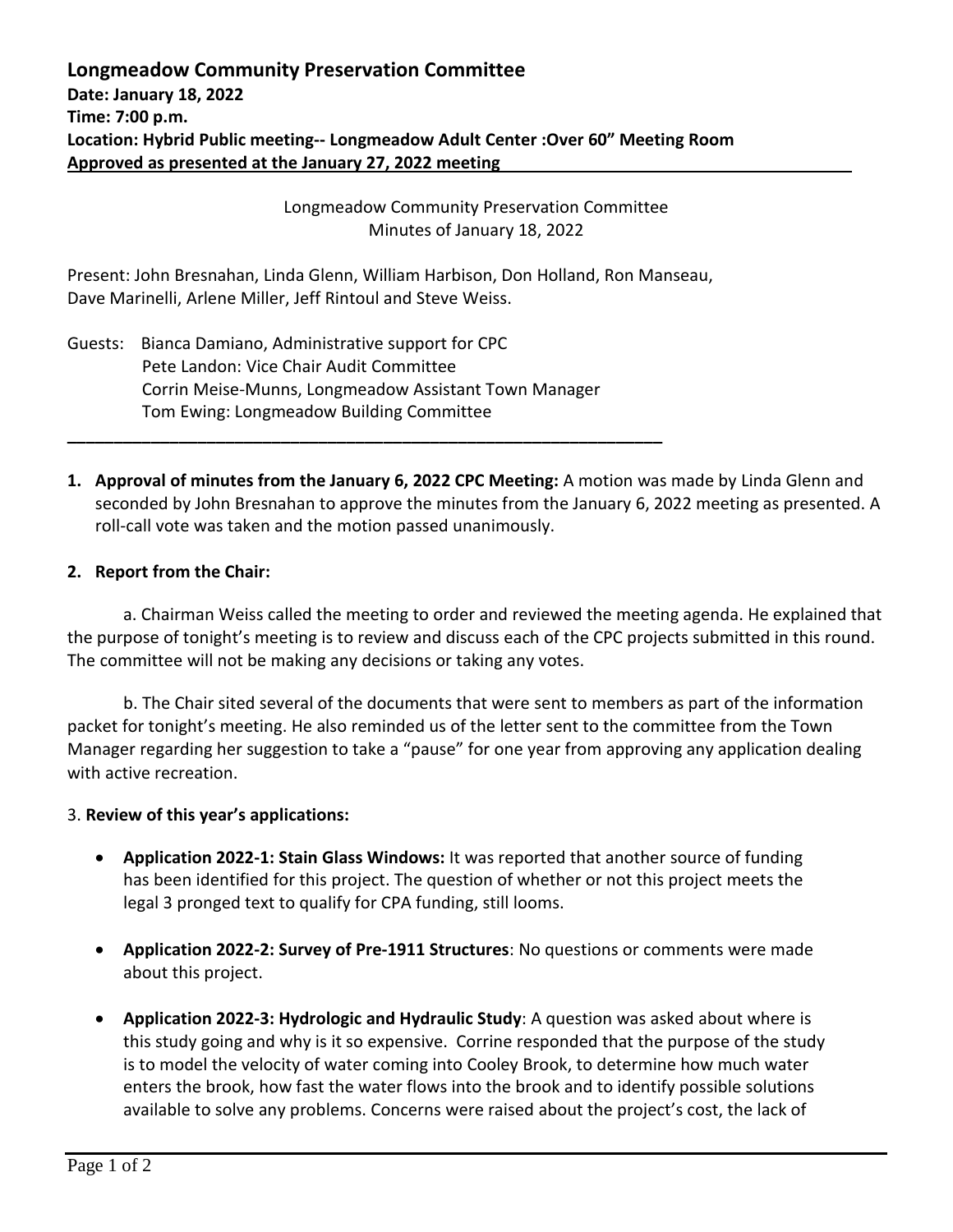Longmeadow Community Preservation Committee Minutes of January 18, 2022

Present: John Bresnahan, Linda Glenn, William Harbison, Don Holland, Ron Manseau, Dave Marinelli, Arlene Miller, Jeff Rintoul and Steve Weiss.

Guests: Bianca Damiano, Administrative support for CPC Pete Landon: Vice Chair Audit Committee Corrin Meise-Munns, Longmeadow Assistant Town Manager Tom Ewing: Longmeadow Building Committee

**\_\_\_\_\_\_\_\_\_\_\_\_\_\_\_\_\_\_\_\_\_\_\_\_\_\_\_\_\_\_\_\_\_\_\_\_\_\_\_\_\_\_\_\_\_\_\_\_\_\_\_\_\_\_\_\_\_\_\_\_\_\_\_\_**

**1. Approval of minutes from the January 6, 2022 CPC Meeting:** A motion was made by Linda Glenn and seconded by John Bresnahan to approve the minutes from the January 6, 2022 meeting as presented. A roll-call vote was taken and the motion passed unanimously.

## **2. Report from the Chair:**

a. Chairman Weiss called the meeting to order and reviewed the meeting agenda. He explained that the purpose of tonight's meeting is to review and discuss each of the CPC projects submitted in this round. The committee will not be making any decisions or taking any votes.

b. The Chair sited several of the documents that were sent to members as part of the information packet for tonight's meeting. He also reminded us of the letter sent to the committee from the Town Manager regarding her suggestion to take a "pause" for one year from approving any application dealing with active recreation.

## 3. **Review of this year's applications:**

- **Application 2022-1: Stain Glass Windows:** It was reported that another source of funding has been identified for this project. The question of whether or not this project meets the legal 3 pronged text to qualify for CPA funding, still looms.
- **Application 2022-2: Survey of Pre-1911 Structures**: No questions or comments were made about this project.
- **Application 2022-3: Hydrologic and Hydraulic Study**: A question was asked about where is this study going and why is it so expensive. Corrine responded that the purpose of the study is to model the velocity of water coming into Cooley Brook, to determine how much water enters the brook, how fast the water flows into the brook and to identify possible solutions available to solve any problems. Concerns were raised about the project's cost, the lack of